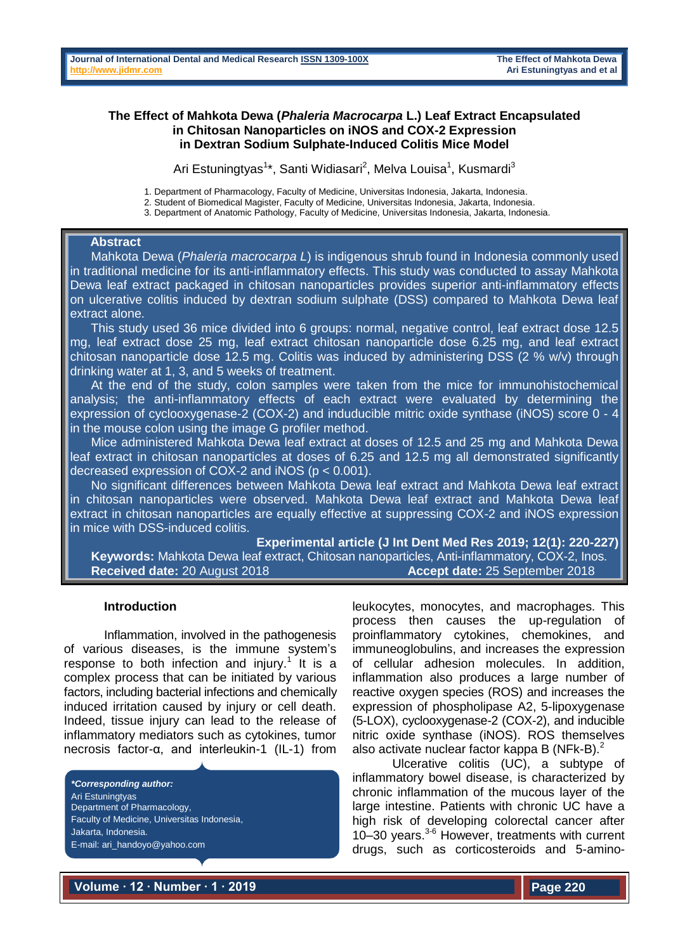# **The Effect of Mahkota Dewa (***Phaleria Macrocarpa* **L.) Leaf Extract Encapsulated in Chitosan Nanoparticles on iNOS and COX-2 Expression in Dextran Sodium Sulphate-Induced Colitis Mice Model**

Ari Estuningtyas<sup>1\*</sup>, Santi Widiasari<sup>2</sup>, Melva Louisa<sup>1</sup>, Kusmardi<sup>3</sup>

1. Department of Pharmacology, Faculty of Medicine, Universitas Indonesia, Jakarta, Indonesia.

2. Student of Biomedical Magister, Faculty of Medicine, Universitas Indonesia, Jakarta, Indonesia.

3. Department of Anatomic Pathology, Faculty of Medicine, Universitas Indonesia, Jakarta, Indonesia.

## **Abstract**

 Mahkota Dewa (*Phaleria macrocarpa L*) is indigenous shrub found in Indonesia commonly used in traditional medicine for its anti-inflammatory effects. This study was conducted to assay Mahkota Dewa leaf extract packaged in chitosan nanoparticles provides superior anti-inflammatory effects on ulcerative colitis induced by dextran sodium sulphate (DSS) compared to Mahkota Dewa leaf extract alone.

 This study used 36 mice divided into 6 groups: normal, negative control, leaf extract dose 12.5 mg, leaf extract dose 25 mg, leaf extract chitosan nanoparticle dose 6.25 mg, and leaf extract chitosan nanoparticle dose 12.5 mg. Colitis was induced by administering DSS (2 % w/v) through drinking water at 1, 3, and 5 weeks of treatment.

 At the end of the study, colon samples were taken from the mice for immunohistochemical analysis; the anti-inflammatory effects of each extract were evaluated by determining the expression of cyclooxygenase-2 (COX-2) and induducible mitric oxide synthase (iNOS) score 0 - 4 in the mouse colon using the image G profiler method.

 Mice administered Mahkota Dewa leaf extract at doses of 12.5 and 25 mg and Mahkota Dewa leaf extract in chitosan nanoparticles at doses of 6.25 and 12.5 mg all demonstrated significantly decreased expression of COX-2 and  $NOS$  ( $p < 0.001$ ).

 No significant differences between Mahkota Dewa leaf extract and Mahkota Dewa leaf extract in chitosan nanoparticles were observed. Mahkota Dewa leaf extract and Mahkota Dewa leaf extract in chitosan nanoparticles are equally effective at suppressing COX-2 and iNOS expression in mice with DSS-induced colitis.

**Experimental article (J Int Dent Med Res 2019; 12(1): 220-227) Keywords:** Mahkota Dewa leaf extract, Chitosan nanoparticles, Anti-inflammatory, COX-2, Inos. **Received date:** 20 August 2018 **Accept date:** 25 September 2018

# **Introduction**

Inflammation, involved in the pathogenesis of various diseases, is the immune system's response to both infection and injury.<sup>1</sup> It is a complex process that can be initiated by various factors, including bacterial infections and chemically induced irritation caused by injury or cell death. Indeed, tissue injury can lead to the release of inflammatory mediators such as cytokines, tumor necrosis factor-α, and interleukin-1 (IL-1) from

*\*Corresponding author:* Ari Estuningtyas Department of Pharmacology, Faculty of Medicine, Universitas Indonesia, Jakarta, Indonesia. E-mail: ari\_handoyo@yahoo.com

leukocytes, monocytes, and macrophages. This process then causes the up-regulation of proinflammatory cytokines, chemokines, and immuneoglobulins, and increases the expression of cellular adhesion molecules. In addition, inflammation also produces a large number of reactive oxygen species (ROS) and increases the expression of phospholipase A2, 5-lipoxygenase (5-LOX), cyclooxygenase-2 (COX-2), and inducible nitric oxide synthase (iNOS). ROS themselves also activate nuclear factor kappa B (NFk-B). $<sup>2</sup>$ </sup>

Ulcerative colitis (UC), a subtype of inflammatory bowel disease, is characterized by chronic inflammation of the mucous layer of the large intestine. Patients with chronic UC have a high risk of developing colorectal cancer after 10–30 years.3-6 However, treatments with current drugs, such as corticosteroids and 5-amino-

**Volume ∙ 12 ∙ Number ∙ 1 ∙ 2019**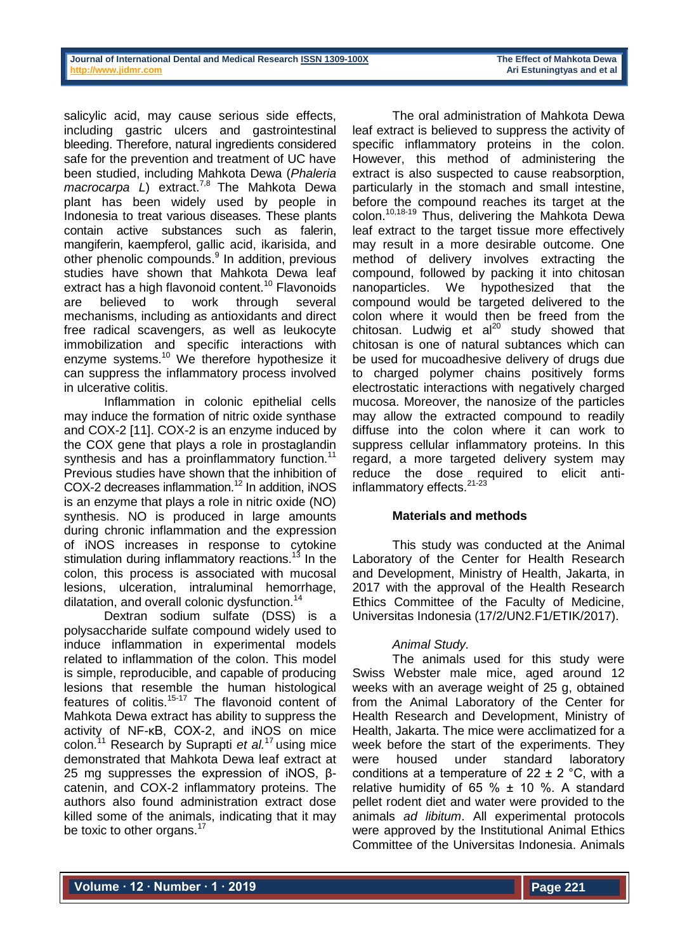salicylic acid, may cause serious side effects, including gastric ulcers and gastrointestinal bleeding. Therefore, natural ingredients considered safe for the prevention and treatment of UC have been studied, including Mahkota Dewa (*Phaleria macrocarpa L*) extract.7,8 The Mahkota Dewa plant has been widely used by people in Indonesia to treat various diseases. These plants contain active substances such as falerin, mangiferin, kaempferol, gallic acid, ikarisida, and other phenolic compounds.<sup>9</sup> In addition, previous studies have shown that Mahkota Dewa leaf extract has a high flavonoid content.<sup>10</sup> Flavonoids are believed to work through several mechanisms, including as antioxidants and direct free radical scavengers, as well as leukocyte immobilization and specific interactions with enzyme systems.<sup>10</sup> We therefore hypothesize it can suppress the inflammatory process involved in ulcerative colitis.

Inflammation in colonic epithelial cells may induce the formation of nitric oxide synthase and COX-2 [11]. COX-2 is an enzyme induced by the COX gene that plays a role in prostaglandin synthesis and has a proinflammatory function.<sup>11</sup> Previous studies have shown that the inhibition of COX-2 decreases inflammation. $12$  In addition, iNOS is an enzyme that plays a role in nitric oxide (NO) synthesis. NO is produced in large amounts during chronic inflammation and the expression of iNOS increases in response to cytokine stimulation during inflammatory reactions.<sup>13</sup> In the colon, this process is associated with mucosal lesions, ulceration, intraluminal hemorrhage, dilatation, and overall colonic dysfunction.<sup>14</sup>

Dextran sodium sulfate (DSS) is a polysaccharide sulfate compound widely used to induce inflammation in experimental models related to inflammation of the colon. This model is simple, reproducible, and capable of producing lesions that resemble the human histological features of colitis.<sup>15-17</sup> The flavonoid content of Mahkota Dewa extract has ability to suppress the activity of NF-κB, COX-2, and iNOS on mice colon.<sup>11</sup> Research by Suprapti *et al.*<sup>17</sup> using mice demonstrated that Mahkota Dewa leaf extract at 25 mg suppresses the expression of iNOS, βcatenin, and COX-2 inflammatory proteins. The authors also found administration extract dose killed some of the animals, indicating that it may be toxic to other organs.<sup>17</sup>

The oral administration of Mahkota Dewa leaf extract is believed to suppress the activity of specific inflammatory proteins in the colon. However, this method of administering the extract is also suspected to cause reabsorption, particularly in the stomach and small intestine, before the compound reaches its target at the colon.10,18-19 Thus, delivering the Mahkota Dewa leaf extract to the target tissue more effectively may result in a more desirable outcome. One method of delivery involves extracting the compound, followed by packing it into chitosan nanoparticles. We hypothesized that the compound would be targeted delivered to the colon where it would then be freed from the chitosan. Ludwig et  $al^{20}$  study showed that chitosan is one of natural subtances which can be used for mucoadhesive delivery of drugs due to charged polymer chains positively forms electrostatic interactions with negatively charged mucosa. Moreover, the nanosize of the particles may allow the extracted compound to readily diffuse into the colon where it can work to suppress cellular inflammatory proteins. In this regard, a more targeted delivery system may reduce the dose required to elicit antiinflammatory effects.<sup>21-23</sup>

# **Materials and methods**

This study was conducted at the Animal Laboratory of the Center for Health Research and Development, Ministry of Health, Jakarta, in 2017 with the approval of the Health Research Ethics Committee of the Faculty of Medicine, Universitas Indonesia (17/2/UN2.F1/ETIK/2017).

# *Animal Study.*

The animals used for this study were Swiss Webster male mice, aged around 12 weeks with an average weight of 25 g, obtained from the Animal Laboratory of the Center for Health Research and Development, Ministry of Health, Jakarta. The mice were acclimatized for a week before the start of the experiments. They were housed under standard laboratory conditions at a temperature of  $22 \pm 2$  °C, with a relative humidity of 65  $%$  ± 10  $%$ . A standard pellet rodent diet and water were provided to the animals *ad libitum*. All experimental protocols were approved by the Institutional Animal Ethics Committee of the Universitas Indonesia. Animals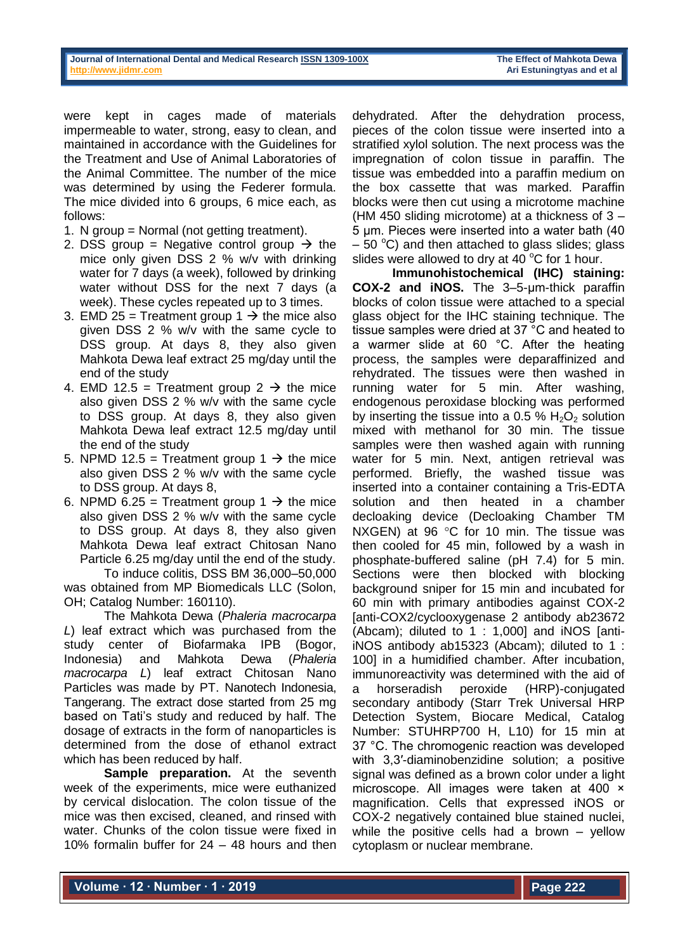were kept in cages made of materials impermeable to water, strong, easy to clean, and maintained in accordance with the Guidelines for the Treatment and Use of Animal Laboratories of the Animal Committee. The number of the mice was determined by using the Federer formula. The mice divided into 6 groups, 6 mice each, as follows:

- 1. N group = Normal (not getting treatment).
- 2. DSS group = Negative control group  $\rightarrow$  the mice only given DSS 2 % w/v with drinking water for 7 days (a week), followed by drinking water without DSS for the next 7 days (a week). These cycles repeated up to 3 times.
- 3. EMD 25 = Treatment group 1  $\rightarrow$  the mice also given DSS 2 % w/v with the same cycle to DSS group. At days 8, they also given Mahkota Dewa leaf extract 25 mg/day until the end of the study
- 4. EMD 12.5 = Treatment group  $2 \rightarrow$  the mice also given DSS 2 % w/v with the same cycle to DSS group. At days 8, they also given Mahkota Dewa leaf extract 12.5 mg/day until the end of the study
- 5. NPMD 12.5 = Treatment group 1  $\rightarrow$  the mice also given DSS 2 % w/v with the same cycle to DSS group. At days 8,
- 6. NPMD 6.25 = Treatment group 1  $\rightarrow$  the mice also given DSS 2 % w/v with the same cycle to DSS group. At days 8, they also given Mahkota Dewa leaf extract Chitosan Nano Particle 6.25 mg/day until the end of the study.

To induce colitis, DSS BM 36,000–50,000 was obtained from MP Biomedicals LLC (Solon, OH; Catalog Number: 160110).

The Mahkota Dewa (*Phaleria macrocarpa L*) leaf extract which was purchased from the study center of Biofarmaka IPB (Bogor, Indonesia) and Mahkota Dewa (*Phaleria macrocarpa L*) leaf extract Chitosan Nano Particles was made by PT. Nanotech Indonesia, Tangerang. The extract dose started from 25 mg based on Tati's study and reduced by half. The dosage of extracts in the form of nanoparticles is determined from the dose of ethanol extract which has been reduced by half.

**Sample preparation.** At the seventh week of the experiments, mice were euthanized by cervical dislocation. The colon tissue of the mice was then excised, cleaned, and rinsed with water. Chunks of the colon tissue were fixed in 10% formalin buffer for 24 – 48 hours and then dehydrated. After the dehydration process, pieces of the colon tissue were inserted into a stratified xylol solution. The next process was the impregnation of colon tissue in paraffin. The tissue was embedded into a paraffin medium on the box cassette that was marked. Paraffin blocks were then cut using a microtome machine (HM 450 sliding microtome) at a thickness of 3 – 5 μm. Pieces were inserted into a water bath (40  $-50$  °C) and then attached to glass slides; glass slides were allowed to dry at 40 $\degree$ C for 1 hour.

**Immunohistochemical (IHC) staining: COX-2 and iNOS.** The 3–5-μm-thick paraffin blocks of colon tissue were attached to a special glass object for the IHC staining technique. The tissue samples were dried at 37 °C and heated to a warmer slide at 60 °C. After the heating process, the samples were deparaffinized and rehydrated. The tissues were then washed in running water for 5 min. After washing, endogenous peroxidase blocking was performed by inserting the tissue into a 0.5 %  $H_2O_2$  solution mixed with methanol for 30 min. The tissue samples were then washed again with running water for 5 min. Next, antigen retrieval was performed. Briefly, the washed tissue was inserted into a container containing a Tris-EDTA solution and then heated in a chamber decloaking device (Decloaking Chamber TM NXGEN) at 96  $\degree$ C for 10 min. The tissue was then cooled for 45 min, followed by a wash in phosphate-buffered saline (pH 7.4) for 5 min. Sections were then blocked with blocking background sniper for 15 min and incubated for 60 min with primary antibodies against COX-2 [anti-COX2/cyclooxygenase 2 antibody ab23672 (Abcam); diluted to 1 : 1,000] and iNOS [antiiNOS antibody ab15323 (Abcam); diluted to 1 : 100] in a humidified chamber. After incubation, immunoreactivity was determined with the aid of a horseradish peroxide (HRP)-conjugated secondary antibody (Starr Trek Universal HRP Detection System, Biocare Medical, Catalog Number: STUHRP700 H, L10) for 15 min at 37 °C. The chromogenic reaction was developed with 3,3'-diaminobenzidine solution; a positive signal was defined as a brown color under a light microscope. All images were taken at 400 × magnification. Cells that expressed iNOS or COX-2 negatively contained blue stained nuclei, while the positive cells had a brown  $-$  yellow cytoplasm or nuclear membrane.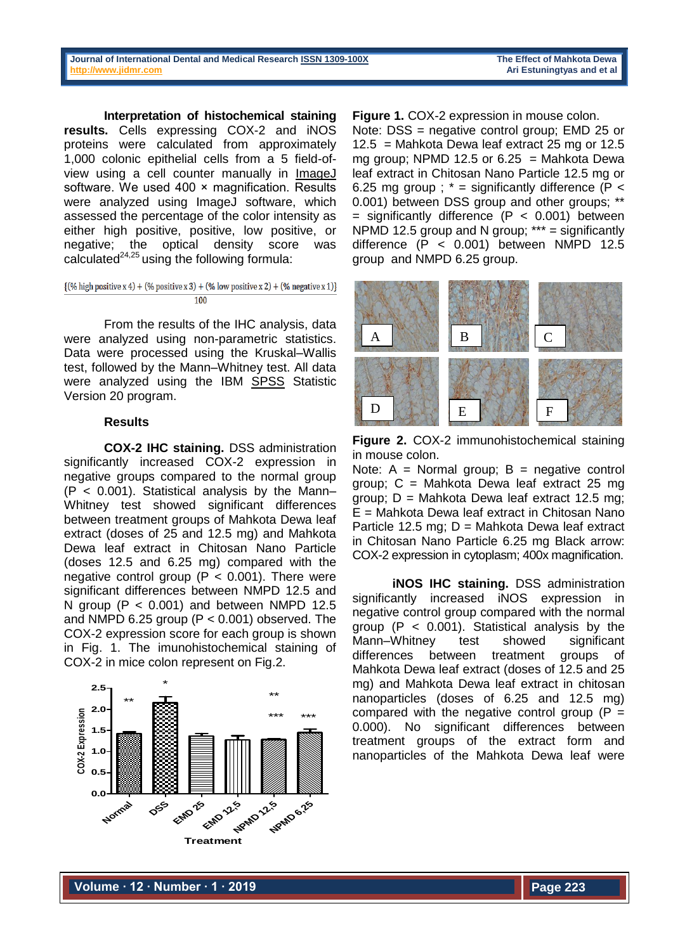**Journal of International Dental and Medical Research ISSN [1309-100X](http://www.ektodermaldisplazi.com/dergi.htm) The Effect of Mahkota Dewa [http://www.jidmr.com](http://www.jidmr.com/) Ari Estuningtyas and et al**

**Interpretation of histochemical staining results.** Cells expressing COX-2 and iNOS proteins were calculated from approximately 1,000 colonic epithelial cells from a 5 field-ofview using a cell counter manually in ImageJ software. We used 400 x magnification. Results were analyzed using ImageJ software, which assessed the percentage of the color intensity as either high positive, positive, low positive, or negative; the optical density score was calculated $^{24,25}$  using the following formula:

#### $\{(% high positive x 4) + (% positive x 3) + (% low positive x 2) + (% negative x 1)\}\$  $100$

From the results of the IHC analysis, data were analyzed using non-parametric statistics. Data were processed using the Kruskal–Wallis test, followed by the Mann–Whitney test. All data were analyzed using the IBM [SPSS](https://www.ibm.com/analytics/data-science/predictive-analytics/spss-statistical-software) Statistic Version 20 program.

# **Results**

**COX-2 IHC staining.** DSS administration significantly increased COX-2 expression in negative groups compared to the normal group  $(P < 0.001)$ . Statistical analysis by the Mann– Whitney test showed significant differences between treatment groups of Mahkota Dewa leaf extract (doses of 25 and 12.5 mg) and Mahkota Dewa leaf extract in Chitosan Nano Particle (doses 12.5 and 6.25 mg) compared with the negative control group ( $P < 0.001$ ). There were significant differences between NMPD 12.5 and N group (P < 0.001) and between NMPD 12.5 and NMPD 6.25 group ( $P < 0.001$ ) observed. The COX-2 expression score for each group is shown in Fig. 1. The imunohistochemical staining of COX-2 in mice colon represent on Fig.2.



**Figure 1.** COX-2 expression in mouse colon.

Note: DSS = negative control group; EMD 25 or 12.5 = Mahkota Dewa leaf extract 25 mg or 12.5 mg group; NPMD 12.5 or  $6.25$  = Mahkota Dewa leaf extract in Chitosan Nano Particle 12.5 mg or 6.25 mg group ;  $* =$  significantly difference (P < 0.001) between DSS group and other groups; \*\*  $=$  significantly difference (P < 0.001) between NPMD 12.5 group and N group;  $***$  = significantly difference  $(P < 0.001)$  between NMPD 12.5 group and NMPD 6.25 group.



**Figure 2.** COX-2 immunohistochemical staining in mouse colon.

Note:  $A = Normal group$ ;  $B = negative control$ group; C = Mahkota Dewa leaf extract 25 mg group:  $D = M$ ahkota Dewa leaf extract 12.5 mg; E = Mahkota Dewa leaf extract in Chitosan Nano Particle 12.5 mg; D = Mahkota Dewa leaf extract in Chitosan Nano Particle 6.25 mg Black arrow: COX-2 expression in cytoplasm; 400x magnification.

**iNOS IHC staining.** DSS administration significantly increased iNOS expression in negative control group compared with the normal group  $(P < 0.001)$ . Statistical analysis by the Mann–Whitney test showed significant differences between treatment groups of Mahkota Dewa leaf extract (doses of 12.5 and 25 mg) and Mahkota Dewa leaf extract in chitosan nanoparticles (doses of 6.25 and 12.5 mg) compared with the negative control group  $(P =$ 0.000). No significant differences between treatment groups of the extract form and nanoparticles of the Mahkota Dewa leaf were

**Volume ∙ 12 ∙ Number ∙ 1 ∙ 2019**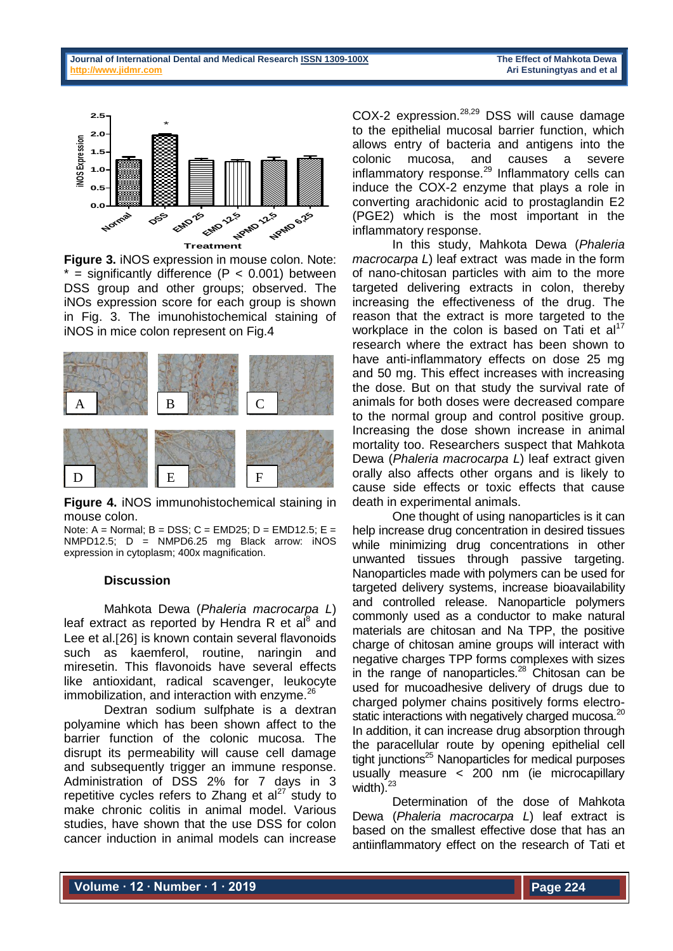

**Figure 3.** iNOS expression in mouse colon. Note:  $*$  = significantly difference (P < 0.001) between DSS group and other groups; observed. The iNOs expression score for each group is shown in Fig. 3. The imunohistochemical staining of iNOS in mice colon represent on Fig.4



**Figure 4.** iNOS immunohistochemical staining in mouse colon.

Note:  $A =$  Normal;  $B =$  DSS;  $C =$  EMD25;  $D =$  EMD12.5;  $E =$ NMPD12.5; D = NMPD6.25 mg Black arrow: iNOS expression in cytoplasm; 400x magnification.

### **Discussion**

Mahkota Dewa (*Phaleria macrocarpa L*) leaf extract as reported by Hendra R et al $^8$  and Lee et al.[26] is known contain several flavonoids such as kaemferol, routine, naringin and miresetin. This flavonoids have several effects like antioxidant, radical scavenger, leukocyte immobilization, and interaction with enzyme.<sup>26</sup>

Dextran sodium sulfphate is a dextran polyamine which has been shown affect to the barrier function of the colonic mucosa. The disrupt its permeability will cause cell damage and subsequently trigger an immune response. Administration of DSS 2% for 7 days in 3 repetitive cycles refers to Zhang et  $al^{27}$  study to make chronic colitis in animal model. Various studies, have shown that the use DSS for colon cancer induction in animal models can increase

COX-2 expression.28,29 DSS will cause damage to the epithelial mucosal barrier function, which allows entry of bacteria and antigens into the colonic mucosa, and causes a severe inflammatory response. $^{29}$  Inflammatory cells can induce the COX-2 enzyme that plays a role in converting arachidonic acid to prostaglandin E2 (PGE2) which is the most important in the inflammatory response.

In this study, Mahkota Dewa (*Phaleria macrocarpa L*) leaf extract was made in the form of nano-chitosan particles with aim to the more targeted delivering extracts in colon, thereby increasing the effectiveness of the drug. The reason that the extract is more targeted to the workplace in the colon is based on Tati et  $al<sup>17</sup>$ research where the extract has been shown to have anti-inflammatory effects on dose 25 mg and 50 mg. This effect increases with increasing the dose. But on that study the survival rate of animals for both doses were decreased compare to the normal group and control positive group. Increasing the dose shown increase in animal mortality too. Researchers suspect that Mahkota Dewa (*Phaleria macrocarpa L*) leaf extract given orally also affects other organs and is likely to cause side effects or toxic effects that cause death in experimental animals.

One thought of using nanoparticles is it can help increase drug concentration in desired tissues while minimizing drug concentrations in other unwanted tissues through passive targeting. Nanoparticles made with polymers can be used for targeted delivery systems, increase bioavailability and controlled release. Nanoparticle polymers commonly used as a conductor to make natural materials are chitosan and Na TPP, the positive charge of chitosan amine groups will interact with negative charges TPP forms complexes with sizes in the range of nanoparticles. $28$  Chitosan can be used for mucoadhesive delivery of drugs due to charged polymer chains positively forms electrostatic interactions with negatively charged mucosa.<sup>20</sup> In addition, it can increase drug absorption through the paracellular route by opening epithelial cell tight junctions<sup>25</sup> Nanoparticles for medical purposes usually measure < 200 nm (ie microcapillary width). $23$ 

Determination of the dose of Mahkota Dewa (*Phaleria macrocarpa L*) leaf extract is based on the smallest effective dose that has an antiinflammatory effect on the research of Tati et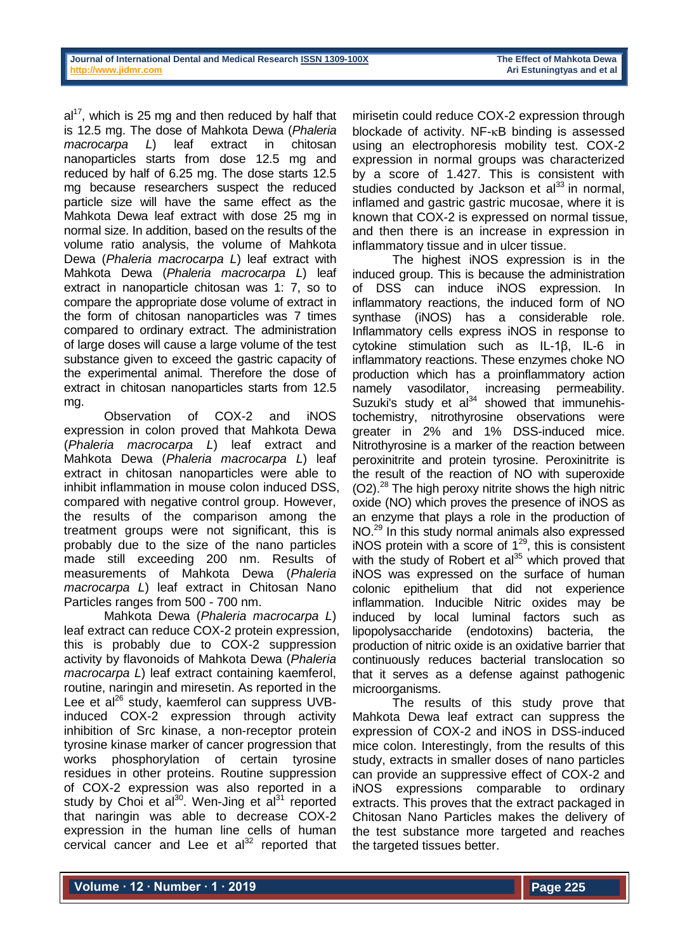$al^{17}$ , which is 25 mg and then reduced by half that is 12.5 mg. The dose of Mahkota Dewa (*Phaleria macrocarpa L*) leaf extract in chitosan nanoparticles starts from dose 12.5 mg and reduced by half of 6.25 mg. The dose starts 12.5 mg because researchers suspect the reduced particle size will have the same effect as the Mahkota Dewa leaf extract with dose 25 mg in normal size. In addition, based on the results of the volume ratio analysis, the volume of Mahkota Dewa (*Phaleria macrocarpa L*) leaf extract with Mahkota Dewa (*Phaleria macrocarpa L*) leaf extract in nanoparticle chitosan was 1: 7, so to compare the appropriate dose volume of extract in the form of chitosan nanoparticles was 7 times compared to ordinary extract. The administration of large doses will cause a large volume of the test substance given to exceed the gastric capacity of the experimental animal. Therefore the dose of extract in chitosan nanoparticles starts from 12.5 mg.

Observation of COX-2 and iNOS expression in colon proved that Mahkota Dewa (*Phaleria macrocarpa L*) leaf extract and Mahkota Dewa (*Phaleria macrocarpa L*) leaf extract in chitosan nanoparticles were able to inhibit inflammation in mouse colon induced DSS, compared with negative control group. However, the results of the comparison among the treatment groups were not significant, this is probably due to the size of the nano particles made still exceeding 200 nm. Results of measurements of Mahkota Dewa (*Phaleria macrocarpa L*) leaf extract in Chitosan Nano Particles ranges from 500 - 700 nm.

Mahkota Dewa (*Phaleria macrocarpa L*) leaf extract can reduce COX-2 protein expression, this is probably due to COX-2 suppression activity by flavonoids of Mahkota Dewa (*Phaleria macrocarpa L*) leaf extract containing kaemferol, routine, naringin and miresetin. As reported in the Lee et al<sup>26</sup> study, kaemferol can suppress UVBinduced COX-2 expression through activity inhibition of Src kinase, a non-receptor protein tyrosine kinase marker of cancer progression that works phosphorylation of certain tyrosine residues in other proteins. Routine suppression of COX-2 expression was also reported in a study by Choi et al $^{30}$ . Wen-Jing et al $^{31}$  reported that naringin was able to decrease COX-2 expression in the human line cells of human cervical cancer and Lee et  $al<sup>32</sup>$  reported that

mirisetin could reduce COX-2 expression through blockade of activity.  $NF$ - $\kappa$ B binding is assessed using an electrophoresis mobility test. COX-2 expression in normal groups was characterized by a score of 1.427. This is consistent with studies conducted by Jackson et  $al<sup>33</sup>$  in normal, inflamed and gastric gastric mucosae, where it is known that COX-2 is expressed on normal tissue, and then there is an increase in expression in inflammatory tissue and in ulcer tissue.

The highest iNOS expression is in the induced group. This is because the administration of DSS can induce iNOS expression. In inflammatory reactions, the induced form of NO synthase (iNOS) has a considerable role. Inflammatory cells express iNOS in response to cytokine stimulation such as IL-1β, IL-6 in inflammatory reactions. These enzymes choke NO production which has a proinflammatory action namely vasodilator, increasing permeability. Suzuki's study et  $al^{34}$  showed that immunehistochemistry, nitrothyrosine observations were greater in 2% and 1% DSS-induced mice. Nitrothyrosine is a marker of the reaction between peroxinitrite and protein tyrosine. Peroxinitrite is the result of the reaction of NO with superoxide  $(O2)$ .<sup>28</sup> The high peroxy nitrite shows the high nitric oxide (NO) which proves the presence of iNOS as an enzyme that plays a role in the production of NO.<sup>29</sup> In this study normal animals also expressed iNOS protein with a score of  $1^{29}$ , this is consistent with the study of Robert et al $^{35}$  which proved that iNOS was expressed on the surface of human colonic epithelium that did not experience inflammation. Inducible Nitric oxides may be induced by local luminal factors such as lipopolysaccharide (endotoxins) bacteria, the production of nitric oxide is an oxidative barrier that continuously reduces bacterial translocation so that it serves as a defense against pathogenic microorganisms.

The results of this study prove that Mahkota Dewa leaf extract can suppress the expression of COX-2 and iNOS in DSS-induced mice colon. Interestingly, from the results of this study, extracts in smaller doses of nano particles can provide an suppressive effect of COX-2 and iNOS expressions comparable to ordinary extracts. This proves that the extract packaged in Chitosan Nano Particles makes the delivery of the test substance more targeted and reaches the targeted tissues better.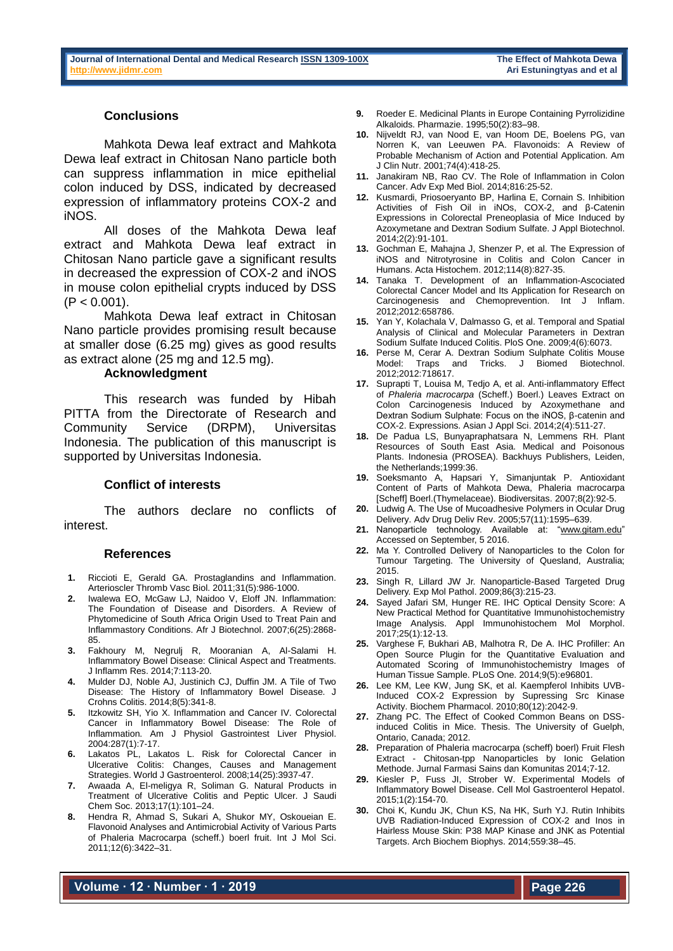# **Conclusions**

Mahkota Dewa leaf extract and Mahkota Dewa leaf extract in Chitosan Nano particle both can suppress inflammation in mice epithelial colon induced by DSS, indicated by decreased expression of inflammatory proteins COX-2 and iNOS.

All doses of the Mahkota Dewa leaf extract and Mahkota Dewa leaf extract in Chitosan Nano particle gave a significant results in decreased the expression of COX-2 and iNOS in mouse colon epithelial crypts induced by DSS  $(P < 0.001)$ .

Mahkota Dewa leaf extract in Chitosan Nano particle provides promising result because at smaller dose (6.25 mg) gives as good results as extract alone (25 mg and 12.5 mg).

#### **Acknowledgment**

This research was funded by Hibah PITTA from the Directorate of Research and Community Service (DRPM), Universitas Indonesia. The publication of this manuscript is supported by Universitas Indonesia.

### **Conflict of interests**

The authors declare no conflicts of interest.

### **References**

- **1.** Riccioti E, Gerald GA. Prostaglandins and Inflammation. Arterioscler Thromb Vasc Biol. 2011;31(5):986-1000.
- **2.** Iwalewa EO, McGaw LJ, Naidoo V, Eloff JN. Inflammation: The Foundation of Disease and Disorders. A Review of Phytomedicine of South Africa Origin Used to Treat Pain and Inflammastory Conditions. Afr J Biotechnol. 2007;6(25):2868- 85.
- **3.** Fakhoury M, Negrulj R, Mooranian A, Al-Salami H. Inflammatory Bowel Disease: Clinical Aspect and Treatments. J Inflamm Res. 2014;7:113-20.
- **4.** Mulder DJ, Noble AJ, Justinich CJ, Duffin JM. A Tile of Two Disease: The History of Inflammatory Bowel Disease. J Crohns Colitis. 2014;8(5):341-8.
- **5.** Itzkowitz SH, Yio X. Inflammation and Cancer IV. Colorectal Cancer in Inflammatory Bowel Disease: The Role of Inflammation. Am J Physiol Gastrointest Liver Physiol. 2004:287(1):7-17.
- **6.** Lakatos PL, Lakatos L. Risk for Colorectal Cancer in Ulcerative Colitis: Changes, Causes and Management Strategies. World J Gastroenterol. 2008;14(25):3937-47.
- **7.** Awaada A, El-meligya R, Soliman G. Natural Products in Treatment of Ulcerative Colitis and Peptic Ulcer. J Saudi Chem Soc. 2013;17(1):101–24.
- **8.** Hendra R, Ahmad S, Sukari A, Shukor MY, Oskoueian E. Flavonoid Analyses and Antimicrobial Activity of Various Parts of Phaleria Macrocarpa (scheff.) boerl fruit. Int J Mol Sci. 2011;12(6):3422–31.
- **9.** Roeder E. Medicinal Plants in Europe Containing Pyrrolizidine Alkaloids. Pharmazie. 1995;50(2):83–98.
- **10.** Nijveldt RJ, van Nood E, van Hoom DE, Boelens PG, van Norren K, van Leeuwen PA. Flavonoids: A Review of Probable Mechanism of Action and Potential Application. Am J Clin Nutr. 2001;74(4):418-25.
- **11.** Janakiram NB, Rao CV. The Role of Inflammation in Colon Cancer. Adv Exp Med Biol. 2014;816:25-52.
- **12.** Kusmardi, Priosoeryanto BP, Harlina E, Cornain S. Inhibition Activities of Fish Oil in iNOs, COX-2, and β-Catenin Expressions in Colorectal Preneoplasia of Mice Induced by Azoxymetane and Dextran Sodium Sulfate. J Appl Biotechnol. 2014;2(2):91-101.
- **13.** Gochman E, Mahajna J, Shenzer P, et al. The Expression of iNOS and Nitrotyrosine in Colitis and Colon Cancer in Humans. Acta Histochem. 2012;114(8):827-35.
- **14.** Tanaka T. Development of an Inflammation-Ascociated Colorectal Cancer Model and Its Application for Research on Carcinogenesis and Chemoprevention. Int J Inflam. 2012;2012:658786.
- **15.** Yan Y, Kolachala V, Dalmasso G, et al. Temporal and Spatial Analysis of Clinical and Molecular Parameters in Dextran Sodium Sulfate Induced Colitis. PloS One. 2009:4(6):6073.
- **16.** Perse M, Cerar A. Dextran Sodium Sulphate Colitis Mouse Model: Traps and Tricks. J Biomed Biotechnol. 2012;2012:718617.
- **17.** Suprapti T, Louisa M, Tedjo A, et al. Anti-inflammatory Effect of *Phaleria macrocarpa* (Scheff.) Boerl.) Leaves Extract on Colon Carcinogenesis Induced by Azoxymethane and Dextran Sodium Sulphate: Focus on the iNOS, β-catenin and COX-2. Expressions. Asian J Appl Sci. 2014;2(4):511-27.
- **18.** De Padua LS, Bunyapraphatsara N, Lemmens RH. Plant Resources of South East Asia. Medical and Poisonous Plants. Indonesia (PROSEA). Backhuys Publishers, Leiden, the Netherlands;1999:36.
- **19.** Soeksmanto A, Hapsari Y, Simanjuntak P. Antioxidant Content of Parts of Mahkota Dewa, Phaleria macrocarpa [Scheff] Boerl.(Thymelaceae). Biodiversitas. 2007;8(2):92-5.
- **20.** Ludwig A. The Use of Mucoadhesive Polymers in Ocular Drug Delivery. Adv Drug Deliv Rev. 2005;57(11):1595–639.
- 21. Nanoparticle technology. Available at: "www.gitam.edu" Accessed on September, 5 2016.
- **22.** Ma Y. Controlled Delivery of Nanoparticles to the Colon for Tumour Targeting. The University of Quesland, Australia; 2015.
- **23.** Singh R, Lillard JW Jr. Nanoparticle-Based Targeted Drug Delivery. Exp Mol Pathol. 2009;86(3):215-23.
- **24.** Sayed Jafari SM, Hunger RE. IHC Optical Density Score: A New Practical Method for Quantitative Immunohistochemistry Image Analysis. Appl Immunohistochem Mol Morphol. 2017;25(1):12-13.
- **25.** Varghese F, Bukhari AB, Malhotra R, De A. IHC Profiller: An Open Source Plugin for the Quantitative Evaluation and Automated Scoring of Immunohistochemistry Images of Human Tissue Sample. PLoS One. 2014;9(5):e96801.
- 26. Lee KM, Lee KW, Jung SK, et al. Kaempferol Inhibits UVB-Induced COX-2 Expression by Supressing Src Kinase Activity. Biochem Pharmacol. 2010;80(12):2042-9.
- **27.** Zhang PC. The Effect of Cooked Common Beans on DSSinduced Colitis in Mice. Thesis. The University of Guelph, Ontario, Canada; 2012.
- **28.** Preparation of Phaleria macrocarpa (scheff) boerl) Fruit Flesh Extract - Chitosan-tpp Nanoparticles by Ionic Gelation Methode. Jurnal Farmasi Sains dan Komunitas 2014;7-12.
- **29.** Kiesler P, Fuss JI, Strober W. Experimental Models of Inflammatory Bowel Disease. Cell Mol Gastroenterol Hepatol. 2015;1(2):154-70.
- **30.** Choi K, Kundu JK, Chun KS, Na HK, Surh YJ. Rutin Inhibits UVB Radiation-Induced Expression of COX-2 and Inos in Hairless Mouse Skin: P38 MAP Kinase and JNK as Potential Targets. Arch Biochem Biophys. 2014;559:38–45.

**Volume ∙ 12 ∙ Number ∙ 1 ∙ 2019**